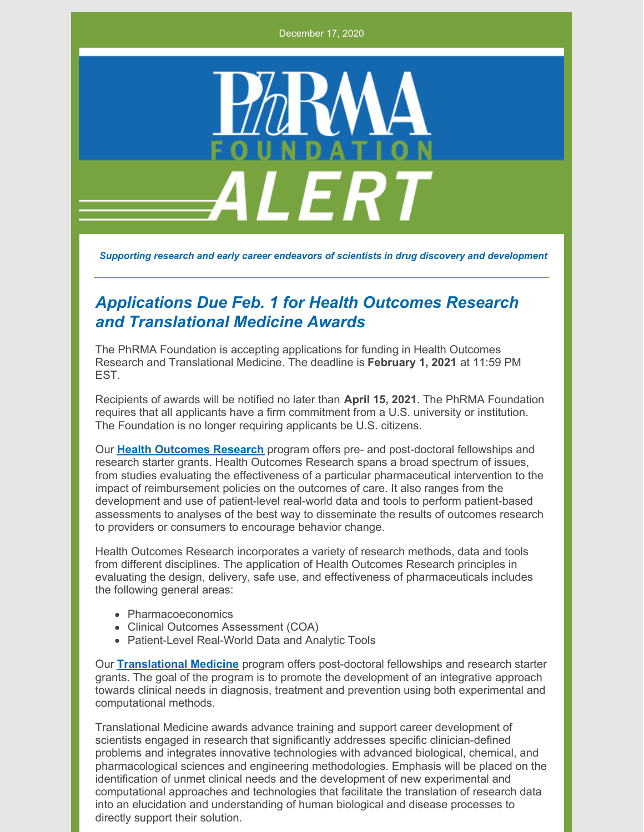December 17, 2020



*Supporting research and early career endeavors of scientists in drug discovery and development*

## *Applications Due Feb. 1 for Health Outcomes Research and Translational Medicine Awards*

The PhRMA Foundation is accepting applications for funding in Health Outcomes Research and Translational Medicine. The deadline is **February 1, 2021** at 11:59 PM EST.

Recipients of awards will be notified no later than **April 15, 2021**. The PhRMA Foundation requires that all applicants have a firm commitment from a U.S. university or institution. The Foundation is no longer requiring applicants be U.S. citizens.

Our **Health [Outcomes](http://www.phrmafoundation.org/wp-content/uploads/2020/12/Health-Outcomes-Research-2021_FINAL-1.pdf) Research** program offers pre- and post-doctoral fellowships and research starter grants. Health Outcomes Research spans a broad spectrum of issues, from studies evaluating the effectiveness of a particular pharmaceutical intervention to the impact of reimbursement policies on the outcomes of care. It also ranges from the development and use of patient-level real-world data and tools to perform patient-based assessments to analyses of the best way to disseminate the results of outcomes research to providers or consumers to encourage behavior change.

Health Outcomes Research incorporates a variety of research methods, data and tools from different disciplines. The application of Health Outcomes Research principles in evaluating the design, delivery, safe use, and effectiveness of pharmaceuticals includes the following general areas:

- Pharmacoeconomics
- Clinical Outcomes Assessment (COA)
- Patient-Level Real-World Data and Analytic Tools

Our **[Translational](http://www.phrmafoundation.org/wp-content/uploads/2020/11/Translational-Medicine-2021_FINAL_11.24.20.pdf) Medicine** program offers post-doctoral fellowships and research starter grants. The goal of the program is to promote the development of an integrative approach towards clinical needs in diagnosis, treatment and prevention using both experimental and computational methods.

Translational Medicine awards advance training and support career development of scientists engaged in research that significantly addresses specific clinician-defined problems and integrates innovative technologies with advanced biological, chemical, and pharmacological sciences and engineering methodologies. Emphasis will be placed on the identification of unmet clinical needs and the development of new experimental and computational approaches and technologies that facilitate the translation of research data into an elucidation and understanding of human biological and disease processes to directly support their solution.